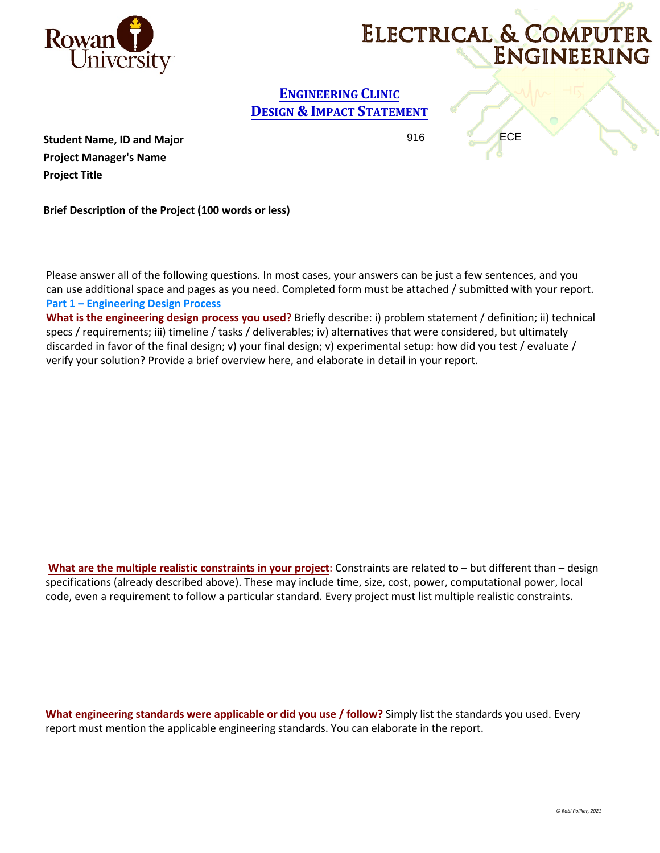

# ELECTRICAL & COMPUTER ENGINEERING

## **ENGINEERING CLINIC DESIGN & IMPACT STATEMENT**

916 **ECE** 

**Student Name, ID and Major Project Manager's Name Project Title** 

**Brief Description of the Project (100 words or less)**

Please answer all of the following questions. In most cases, your answers can be just a few sentences, and you can use additional space and pages as you need. Completed form must be attached / submitted with your report. **Part 1 – Engineering Design Process** 

**What is the engineering design process you used?** Briefly describe: i) problem statement / definition; ii) technical specs / requirements; iii) timeline / tasks / deliverables; iv) alternatives that were considered, but ultimately discarded in favor of the final design; v) your final design; v) experimental setup: how did you test / evaluate / verify your solution? Provide a brief overview here, and elaborate in detail in your report.

**What are the multiple realistic constraints in your project**: Constraints are related to – but different than – design specifications (already described above). These may include time, size, cost, power, computational power, local code, even a requirement to follow a particular standard. Every project must list multiple realistic constraints.

**What engineering standards were applicable or did you use / follow?** Simply list the standards you used. Every report must mention the applicable engineering standards. You can elaborate in the report.